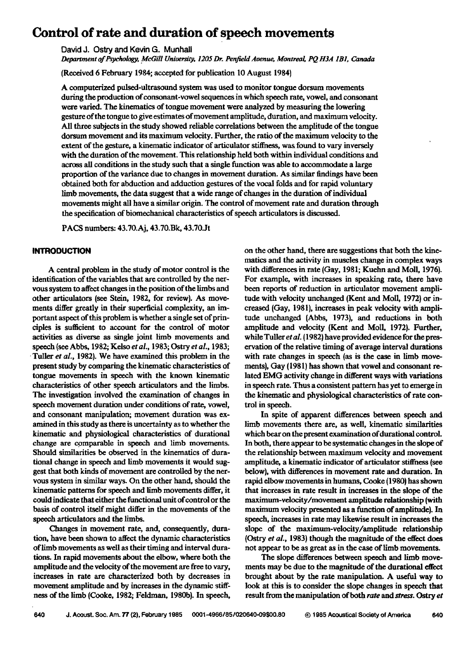# **Control of rate and duration of speech movements**

**David J. Ostry and Kevin G. Munhall** 

Department of Psychology, McGill University, 1205 Dr. Penfield Avenue, Montreal, PO H3A 1B1, Canada

**(Received 6 February 1984; accepted for publication 10 August 1984)** 

**A computerized pulsed-ultrasound system was used to monitor tongue dorsum movements during the production of consonant-vowel sequences in which speech rate, vowel, and consonant were varied. The kinematics of tongue movement were analyzed by measuring the lowering gesture of the tongue to give estimates of movement amplitude, duration, and maximum velocity. All three subjects in the study showed reliable correlations between the amplitude of the tongue doraurn movement and its maximum velocity. Further, the ratio of the maximum velocity to the extent of the gesture, a kinematic indicator of articulator stiffness, was found to vary inversely**  with the duration of the movement. This relationship held both within individual conditions and **across all conditions in the study such that a single function was able to accommodate alarge proportion of the variance due to changes in movement duration. As similar findings have been obtained both for abduction and adduetion gestures of the vocal folds and for rapid voluntary limb movements, the data suggest that a wide range of changes in the duration of individual movements might all have a similar origin. The control of movement rate and duration through the specification of biomechanical characteristics of speech articulators is discussed.** 

**PACS numbers: 43.70.Aj, 43.70.Bk, 43.70.Jt** 

### **INTRODUCTION**

**A central problem in the study of motor control is the identification of the variables that are controlled by the nervous system to affect changes in the position of the limbs and other articulators (see Stein, 1982, for review). As movements differ greatly in their superficial complexity, an important aspect of this problem is whether a single set of principles is sufficient to account for the control of motor activities as diverse as single joint limb movements and speech (see Abbs, 1982; Kelso et aL, 1983; Ostry et aL, 1983; ß Tuller et aL, 1982). We have examined this problem in the present study by comparing the kinematic characteristics of tongue movements in speech with the known kinematic characteristics of other speech articulators and the limbs. The investigation involved the examination of changes in speech movement duration under conditions of rate, vowel, and consonant manipulation; movement duration was examined in this study as there is uncertainty as to whether the kinematic and physiological characteristics of durational**  change are comparable in speech and limb movements. **Should similarities be observed in the kinematics of durariohal change in speech and limb movements it would suggest that both kinds of movement are controlled by the nervous system in similar ways. On the other hand, should the kinematic patterns for speech and limb movements differ, it could indicate that either the functional unit of control or the basis of control itself might differ in the movements of the speech articulators and the limbs.** 

**Changes in movement rate, and, consequently, duration, have been shown to affect the dynamic characteristics of limb movements as well as their timing and interval durations. In rapid movements about the elbow, where both the amplitude and the velocity of the movement are free to vary, increases in rate are characterized both by deereases in movement amplitude and by increases in the dynamic stiffness of the limb (Cooke, 1982; Feldman, 1980b). In speech,**  **on the other hand, there are suggestions that both the kinematics and the activity in muscles change in complex ways with differences in rate (Gay, 1981; Kuehn and Moll, 1976). For example, with increases in speaking rate, there have been reports of reduction in articulator movement amplitude with velocity unchanged (Kent and Moll, 1972) or increased (Gay, 1981), increases in peak velocity with amplitude unchanged {Abbs, 1973), and reductions in both amplitude and velocity (Kent and Moll, 1972). Further, while Tuller et al. (1982) have provided evidence for the preservation of the relative timing of average interval durations with rate changes in speech (as is the case in limb movements), Gay (1981) has shown that vowel and consonant reiated EMG activity change in different ways with variations in speech rate. Thus a consistent pattern has yet to emerge in the kinematic and physiological characteristics of rate control in speech.** 

**In spite of apparent differences between speech and limb movements there are, as well, kinematic similarities**  which bear on the present examination of durational control. In both, there appear to be systematic changes in the slope of **the relationship between maximum velocity and movement amplitude, a kinematic indicator of articulator stiffness (see below), with differences in movement rate and duration. In rapid elbow movements in humans, Cooke (1980) has shown that increases in rate result in increases in the slope of the maximum-velocity/movement amplitude relationship (with maximum velocity presented as a function of amplitude). In speech, increases in rate may likewise result in increases the slope of the maximum-velocity/amplitude relationship (Ostry et aL, 1983) though the magnitude of the effect does not appear to be as great as in the case of limb movements.** 

**The slope ditferenees between speech and limb movements may be due to the magnitude of the durational etfeet brought about by the rate manipulation. A useful way to look at this is to consider the slope changes in speech that result from the manipulation of both rate and stress. Ostry et**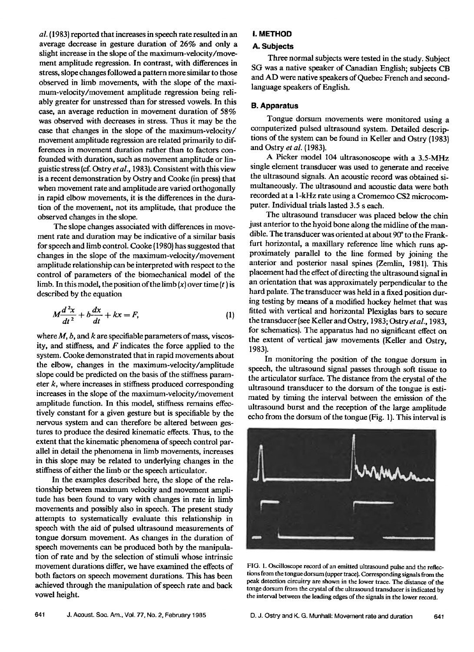**al. (1983} reported that increases in speech rate resulted in an average decrease in gesture duration of 26% and only a slight increase in the slope of the maximum-velocity/movement amplitude regression. In contrast, with differences in stress, slope changes followed a pattern more similar to those observed in limb movements, with the slope of the maximum-velocity/movement amplitude regression being reliably greater for unstressed than for stressed vowels. In this case, an average reduction in movement duration of 58% was observed with decreases in stress. Thus it may be the case that changes in the slope of the maximum-velocity/ movement amplitude regression are related primarily to differences in movement duration rather than to factors confounded with duration, such as movement amplitude or linguistic stress (of. Ostry et al., 1983}. Consistent with this view is a recent demonstration by Ostry and Cooke (in press} that when movement rate and amplitude are varied orthogonally in rapid elbow movements, it is the differences in the duration of the movement, not its amplitude, that produce the observed changes in the slope.** 

**The slope changes associated with differences in movement rate and duration may be indicative of a similar basis for speech and limb control. Cooke { 1980} has suggested that changes in the slope of the maximum-velocity/movement**  amplitude relationship can be interpreted with respect to the **control of parameters of the biomechanical model of the**  limb. In this model, the position of the limb  $(x)$  over time  $(t)$  is **described by the equation** 

$$
M\frac{d^2x}{dt^2} + b\frac{dx}{dt} + kx = F,
$$
\t(1)

**where M, b, and k are specifiable parameters of mass, viscosity, and stiffness, and F indicates the force applied to the system. Cooke demonstrated that in rapid movements about the elbow, changes in the maximum-velocity/amplitude slope could be predicted on the basis of the stiffness parameter k, where increases in stiffness produced corresponding increases in the slope of the maximum-velocity/movement amplitude function. In this model, stiffness remains effectively constant for a given gesture but is specifiable by the nervous system and can therefore be altered between gestures to produce the desired kinematic effects. Thus, to the extent that the kinematic phenomena of speech control parallel in detail the phenomena in limb movements, increases in this slope may be related to underlying changes in the stiffness of either the limb or the speech articulator.** 

**In the examples described here, the slope of the relationship between maximum velocity and movement amplitude has been found to vary with changes in rate in limb movements and possibly also in speech. The present study attempts to systematically evaluate this relationship in speech with the aid of pulsed ultrasound measurements of tongue dotsum movement. As changes in the duration of speech movements can be produced both by the manipulation of rate and by the selection of stimuli whose intrinsic movement durations differ, we have examined the effects of both factors on speech movement durations. This has been achieved through the manipulation of speech rate and back vowel height.** 

## **I. METHOD**

## **A. Subjects**

**Three normal subjects were tested in the study. Subject SG was a native speaker of Canadian English; subjects CB and AD were native speakers of Quebec French and secondlanguage speakers of English.** 

### **B. Apparatus**

**Tongue dorsum movements were monitored using a computerized pulsed ultrasound system. Detailed descriptions of the system can be found in Keller and Ostry (1983} and Ostry et al. (1983}.** 

**A Picker model 104 ultrasonoseope with a 3.5-MHz single element transducer was used to generate and receive the ultrasound signals. An acoustic record was obtained simultaneously. The ultrasound and acoustic data were both recorded at a 1-kHz rate using a Cromemco CS2 microcomputer. Individual trials lasted 3.5 s each.** 

**The ultrasound transducer was placed below the chin just anterior to the hyoid bone along the midline of the mandible. The transducer was oriented at about 90\* to the Frankfurt horizontal, a maxillary reference line which runs approximately parallel to the line formed by joining the anterior and posterior nasal spines {Zemlin, 1981}. This placement had the effect of directing the ultrasound signal in**  an orientation that was approximately perpendicular to the **hard palate. The transducer was held in a fixed position dur**ing testing by means of a modified hockey helmet that was **fitted with vertical and horizontal Plexiglas bars to secure the transducer (see Keller and Ostry, 1983; Ostry etal., 1983, for schematics}. The apparatus had no significant effect on the extent of vertical jaw movements {Keller and Ostry, 1983).** 

In monitoring the position of the tongue dorsum in **speech, the ultrasound signal passes through soft tissue to the articulator surface. The distance from the crystal of the ultrasound transducer to the dorsum of the tongue is estimated by timing the interval between the emission of the ultrasound burst and the reception of the large amplitude echo from the dotsum of the tongue (Fig. 1). This interval is** 



**FIG. 1. Oscilloscope record of an emitted ultrasound pulse and the reflections from the tongue dotsum (upper trace). Corresponding signals from the peak detection circuitry are shown in the lower trace. The distance of the tonge dorsum from the crystal of the ultrasound transducer is indicated by the interval between the leading edges of the signals in the lower record.**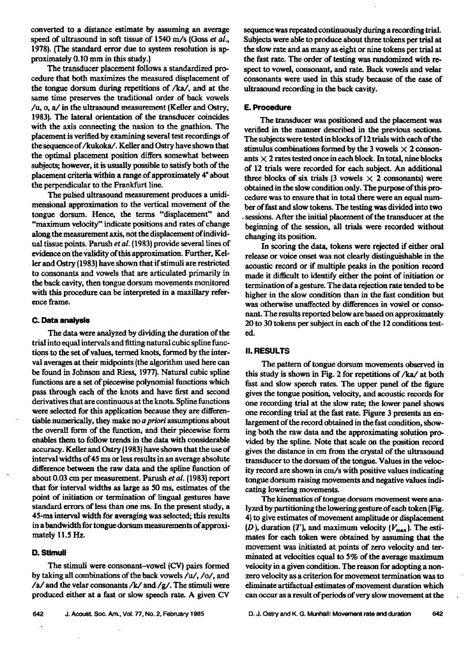**converted to a distance estimate by assuming an average speed of ultrasound in soft tissue of 1540 m/s (Goss et al., 1978). (The standard error due to system resolution is ap**proximately 0.10 mm in this study.)

**The transducer placement follows a standardized procedure that both maximizes the measured displacement of the tongue dotsum during repetitions of/ka/, and at the same time preserves the traditional order of back vowels /u, o, a/in the ultrasound measurement {Keller and Ostry, 1983). The lateral orientation of the transducer coincides with the axis connecting the nasion to the gnathion. The placement is verified by examining several test recordings of the sequence of/kukoka/. Keller and Ostry have shown that the optimal placement position differs somewhat between subjects; however, it is usually possible to satisfy both of the placement criteria within a range of approximately 4ø about the perpendicular to the Frankfurt Hue.** 

**The pulsed ultrasound measurement produces a unidimenstonal approximation to the vertical movement of the tongue dotsum. Hence, the terms "displacement" and "maximum velocity" indicate positions and rates of change**  along the measurement axis, not the displacement of individ**ual tissue points. Parush et al. (1983} provide several lines of evidence on the •alidity of this approximation. Further, Kel- . ler and Ostry (1983) have shown that if stimuli are restricted to consonants and vowels that are articulated primarily in the back cavity, then tongue dotsurn movements monitored**  with this procedure can be interpreted in a maxillary refer**ence frame.** 

# **C. Data analysis**

**The data were analyzed by dividing the duration of the trial into equal intervals and fitting natural cubic spline functions to the set of values, termed knots, formed by the interval averages at their midpoints (the algorithm used here can be found in Johnson and Riess, 1977}. Natural cubic spline functions are a set of piecewise polynomial functions which pass through each of the knots and have first and second derivatives that are continuous at the knots. Spline functions were selected for this application because they are ditferentiable numerically, they male no apriori assumptions about the overall form of the function, and their piecewise form enables them to follow trends in the data with considerable**  accuracy. Keller and Ostry (1983) have shown that the use of **interval widths of 45 ms or less results in an average absolute difference between the raw data and the spline function of**  about 0.03 cm per measurement. Parush et al. (1983) report that for interval widths as large as 50 ms, estimates of the **point of initiation or termination of lingual gestures have standard errors of less than one ms. In the present study, a 45-ms interval width for averaging was selected; this results**  in a bandwidth for tongue dorsum measurements of approxi**mately 11.5 Hz.** 

### **O. Stimuli**

The stimuli were consonant-vowel (CV) pairs formed by taking all combinations of the back vowels /u/, /o/, and  $/a$  and the velar consonants  $/k$  and  $/g$ . The stimuli were produced either at a fast or slow speech rate. A given CV **sequence was repeated continuously during a recording trial.**  Subjects were able to produce about three tokens per trial at the slow rate and as many as eight or nine tokens per trial at the fast rate. The order of testing was randomized with re**spect to vowel, consonant, and rate. Back vowels and velar consonants were used in this study because of the ease of ultrasound recording in the back cavity.** 

## **E. Procedure**

**The transducer was positioned and the placement was verified in the manner described in the previous sections. The subjects were tested in blocks of 12 trials with each of the**  stimulus combinations formed by the 3 vowels  $\times$  2 conson**ants X 2 rates tested once in each block. In total, nine blocks of 12 trials were recorded for each subject. An additional**  three blocks of six trials (3 vowels  $\times$  2 consonants) were **obtained in the slow condition only. The purpose of this procedure was to ensure that in total there were an equal number of fast and slow tokens. The testing was divided into two , sessions. After the initial placement of the transducer at the beginning of the session, all trials were recorded without changing its position.** 

**In scoring the data, tokens were rejected if either oral release or voice onset was not clearly distinguishable in the acoustic record or if multiple peaks in the position record**  made it difficult to identify either the point of initiation or **termination of a gesture. The data rejection rate tended to be higher in the slow condition than in the fast condition but**  was otherwise unaffected by differences in vowel or conso**nant. The results reported below are based on approximately 20 to 30 tokens per subject in each of the 12 conditions tested.** 

# **II. RESULTS**

**The pattern of tongue dorsum movements observed in this study is shown in Fig. 2 for repetitions of/ka/at both fast and slow speech rates. The upper panel of the figure gives the tongue position, velocity, and acoustic records for one recording trial at the slow rate; the lower panel shows one recording trial at the fast rate. Figure 3 presents an enlargement of the record obtained in the fast condition, showing both the raw data and the approximating solution provided by the spline. Note that scale on the position record**  gives the distance in cm from the crystal of the ultrasound **transducer to the dorsum of the tongue. Values in the velocity record are shown in cm/s with positive values indicating tongue dotsum raising movements and negative values indicating lowering movements.** 

**The kinematics of tongue dorsum movement were analyzed by partitioning the lowering gesture of each token (Fig. 4} to give estimates of movement amplitude or displacement**  (D), duration (T), and maximum velocity  $(V_{\text{max}})$ . The esti**mates for each token were obtained by assuming that the movement was initiated at points of zero velocity and terminated at velocities equal to 5% of the average maximum velocity in a given condition. The reason for adopting a non**zero velocity as a criterion for movement termination was to **eliminate artifactual estimates of movement duration which can occur as a result of periods of very slow movement at the**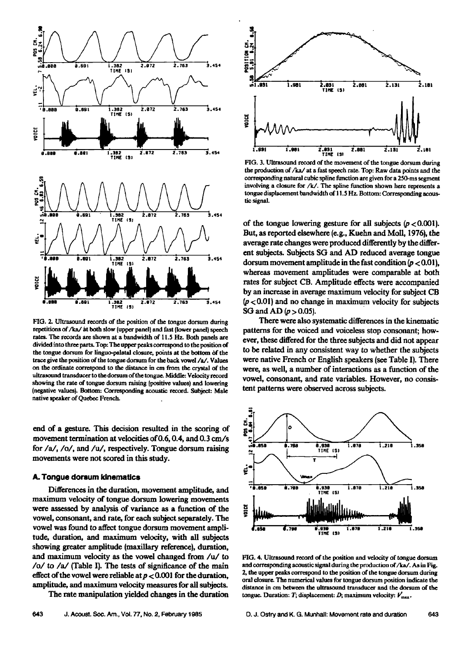

FIG. 2. Ultrasound records of the position of the tongue dorsum during **repetitions of/ka/at both slow (upper panel} and fast {lower panel) speech rates. The records are shown at a bandwidth of 11.5 Hz. Both panels are**  divided into three parts. Top: The upper peaks correspond to the position of the tongue dorsum for linguo-palatal closure, points at the bottom of the **trace give the position of the tongue dersum for the back vowel/a/. Value• on the ordinate correspond to the distance in cm from the crystal of the**  ultrasound transducer to the dorsum of the tongue. Middle: Velocity record **showing the rate of tongue dorsum raising (positive values) and lowering**  (negative values). Bottom: Corresponding acoustic record. Subject: Male **native speaker of Quebec French.** 

**end of a gesture. This decision resulted in the scoring of movement termination at velocities of 0.6, 0.4, and 0.3 cm/s for/a/,/o/, and/u/, respectively. Tongue dersum raising movements were not scored in this study.** 

## **A. Tongue dorsum kinematics**

**Differences in the duration, movement amplitude, and maximum velocity of tongue dersum lowering movements were assessed by analysis of variance as a function of the vowel, consonant, and rate, for each subject separately. The vowel was found to affect tongue dersum movement amplitude, duration, and maximum velocity, with all subjects showing greater amplitude (maxillary reference}, duration, and maximum velocity as the vowel changed from/u/to /o/to/a/(Table I}. The tests of significance of the main effect of the vowel were reliable at p < 0.001 for the duration, amplitude, and maximum velocity measures for all subjects.** 

**The rate manipulation yielded changes in the duration** 



FIG. 3. Ultrasound record of the movement of the tongue dorsum during **the production of/ka/at a fast speech rate. Top: Raw data points and the**  corresponding natural cubic spline function are given for a 250-ms segment **involving a closure for/k/. The spline function shown here represents a**  tongue displacement bandwidth of 11.5 Hz. Bottom: Corresponding acous**tic signal.** 

of the tongue lowering gesture for all subjects  $(p < 0.001)$ . **But, as reported elsewhere (e.g., Kuehn and Moll, 1976), the**  average rate changes were produced differently by the differ**ent subjects. Subjects SG and AD reduced average tongue**  dorsum movement amplitude in the fast condition  $(p < 0.01)$ , **whereas movement amplitudes were comparable at both rates for subject CB. Amplitude effects were accompanied by an increase in average maximum velocity for subject CB (p <0.01} and no change in maximum velocity for subjects SG** and  $AD(p > 0.05)$ .

**There were also systematic differences in the kinematic patterns for the voiced and voiceless stop consonant; however, these differed for the three subjects and did not appear to be related in any consistent way to whether the subjects were native French or English speakers (see Table I). There were, as well, a number of interactions as a function of the vowel, consonant, and rate variables. However, no consistent patterns were observed across subjects.** 



**FIG. 4. Ultrazound record of the position and velocity of tongue dersum**  and corresponding acoustic signal during the production of /ka/. As in Fig. **2, the upper peaks correspond to the position of the tongue dorsum during oral closure. The numerical values for tongue dersum position indicate the distance in cm between the ultrasound transducer and the dersum of the**  tongue. Duration: T; displacement: D; maximum velocity:  $V_{\text{max}}$ .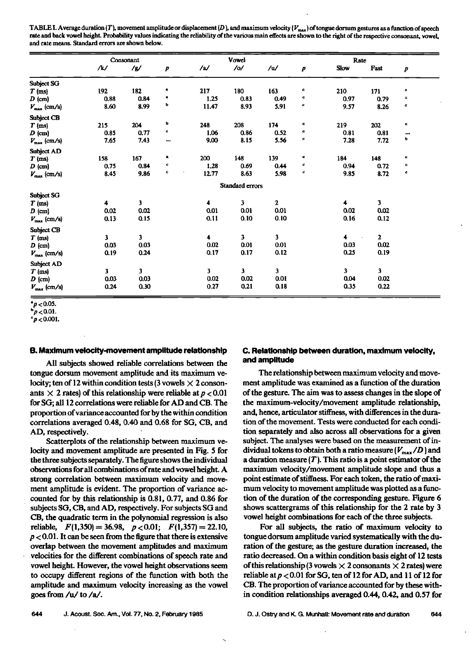TABLE I. Average duration (T), movement amplitude or displacement (D), and maximum velocity ( $V_{\text{max}}$ ) of tongue dorsum gestures as a function of speech rate and back vowel height. Probability values indicating the reliability of the various main effects are shown to the right of the respective consonant, vowel, **and rate means. Standard errors are shown below.** 

|                         | Consonant |      |         |                         | Vowel           |                         |                  | Rate                    |              |                         |  |
|-------------------------|-----------|------|---------|-------------------------|-----------------|-------------------------|------------------|-------------------------|--------------|-------------------------|--|
|                         | /k/       | /y/  | p       | /2/                     | /ol             | /u/                     | $\boldsymbol{p}$ | Slow                    | Fast         | P                       |  |
| Subject SG              |           |      |         |                         |                 |                         |                  |                         |              |                         |  |
| $T$ (ms)                | 192       | 182  | ٠       | 217                     | 180             | 163                     | c                | 210                     | 171          | c                       |  |
| $D$ (cm)                | 0.88      | 0.84 |         | 1.25                    | 0.83            | 0.49                    | c                | 0.97                    | 0.79         | c                       |  |
| $V_{\text{max}}$ (cm/s) | 8.60      | 8.99 | ь       | 11.47                   | 8.93            | 5.91                    | c                | 9.57                    | 8.26         | c                       |  |
| <b>Subject CB</b>       |           |      |         |                         |                 |                         |                  |                         |              |                         |  |
| $T$ (ms)                | 215       | 204  | ь       | 248                     | 208             | 174                     | c                | 219                     | 202          | $\mathbf c$             |  |
| $D$ (cm)                | 0.85      | 0.77 | c       | 1.06                    | 0.86            | 0.52                    | c                | 0.81                    | 0.81         | $\bullet\bullet\bullet$ |  |
| $V_{\rm max}$ (cm/s)    | 7.65      | 7.43 | $- - -$ | 9.00                    | 8.15            | 5.56                    | c                | 7.28                    | 7.72         | р                       |  |
| Subject AD              |           |      |         |                         |                 |                         |                  |                         |              |                         |  |
| $T$ (ms)                | 158       | 167  | ٠       | 200                     | 148             | 139                     | c                | 184                     | 148          | c                       |  |
| $D$ (cm)                | 0.75      | 0.84 | c       | 1,28                    | 0.69            | 0.44                    | c                | 0.94                    | 0.72         | $\mathbf c$             |  |
| $V_{\text{max}}$ (cm/s) | 8.45      | 9.86 | c       | 12.77                   | 8.63            | 5.98                    | c                | 9.85                    | 8.72         | $\mathbf c$             |  |
|                         |           |      |         |                         | Standard errors |                         |                  |                         |              |                         |  |
| Subject SG              |           |      |         |                         |                 |                         |                  |                         |              |                         |  |
| $T$ (ms)                | 4         | 3    |         | 4                       | 3               | $\mathbf 2$             |                  | 4                       | 3            |                         |  |
| $D$ (cm)                | 0.02      | 0.02 |         | 0.01                    | 0.01            | 0.01                    |                  | 0.02                    | 0.02         |                         |  |
| $V_{\text{max}}$ (cm/s) | 0.13      | 0.15 |         | 0.11                    | 0.10            | 0.10                    |                  | 0.16                    | 0.12         |                         |  |
| Subject CB              |           |      |         |                         |                 |                         |                  |                         |              |                         |  |
| $T$ (ms)                | 3         | 3    |         | $\ddot{\phantom{a}}$    | 3               | $\overline{\mathbf{3}}$ |                  | $\overline{\mathbf{4}}$ | $\mathbf{2}$ |                         |  |
| $D$ (cm)                | 0.03      | 0.03 |         | 0.02                    | 0.01            | 0.01                    |                  | 0.03                    | $0.02\,$     |                         |  |
| $V_{\text{max}}$ (cm/s) | 0.19      | 0.24 |         | 0.17                    | 0.17            | 0.12                    |                  | 0.25                    | 0.19         |                         |  |
| Subject AD              |           |      |         |                         |                 |                         |                  |                         |              |                         |  |
| $T$ (ms)                | 3         | 3    |         | $\overline{\mathbf{3}}$ | $\mathbf{3}$    | 3                       |                  | 3                       | $\mathbf{3}$ |                         |  |
| $D$ (cm)                | 0.03      | 0.03 |         | 0.02                    | 0.02            | 0.01                    |                  | 0.04                    | 0.02         |                         |  |
| $V_{\text{max}}$ (cm/s) | 0.24      | 0.30 |         | 0.27                    | 0.21            | 0.18                    |                  | 0.35                    | 0.22         |                         |  |

**<sup>&#</sup>x27;p<O.05.** 

 $^{b}p$  < 0.01.

 $e^{\circ}p$  < 0.001.

#### **B. Maximum velocity-movement amplitude relationship**

**All subjects showed reliable correlations between the tongue dersum movement amplitude and its maximum velocity; ten of 12 within condition tests (3 vowels X 2 conson**ants  $\times$  2 rates) of this relationship were reliable at  $p < 0.01$ **for SG; all 12 correlations were reliable for AD and CB. The proportion of variance accounted for by the within condition correlations averaged 0.48, 0.40 and 0.68 for SG, CB, and AD, respectively.** 

**Scatterplots of the relationship between maximum velocity and movement amplitude are presented in Fig. 5 for the three subjects separately. The figure shows the individual observations for all combinations of rate and vowel height. A strong correlation between maximum velocity and movement amplitude is evident. The proportion of variance accounted for by this relationship is 0.81, 0.77, and 0.86 for subjects SO, CB, and AD, respectively. For subjects SG and CB, the quadratic term in the polynomial regression is also**  reliable,  $F(1,350) = 36.98$ ,  $p < 0.01$ ;  $F(1,357) = 22.10$ , **p < 0.01. It can be seen from the figure that there is extensive overlap between the movement amplitudes and maximum velocities for the different combinations of speech rate and vowel height. However, the vowel height observations seem to occupy different regions of the function with both the amplitude and maximum velocity increasing as the vowel goes from/u/to/a/.** 

# **C. Relationship between duration, maximum velocity, and amplitude**

**The relationship between maximum velocity and movement amplitude was examined as a function of the duration of the gesture. The aim was to assess changes in the slope of the maximum-velocity/movement amplitude relationship, and, hence, articulator stiffness, with differences in the duration of the movement. Tests were conducted for each condition separately and also across all observations for a given subject. The analyses were based on the measurement of in**dividual tokens to obtain both a ratio measure  $(V_{\text{max}}/D)$  and **a duration measure (T). This ratio is a point estimator of the maximum velocity/movement amplitude slope and thus a point estimate of stiffness. For each token, the ratio of maximum velocity to movement amplitude was plotted as a function of the duration of the corresponding gesture. Figure 6 shows scattergrams of this relationship for the 2 rate by 3 vowel height combinations for each of the three subjects.** 

**For all subjects, the ratio of maximum velocity to tongue dersum amplitude varied systematically with the duration of the gesture; as the gesture duration increased, the ratio decreased. On a within condition basis eight of 12 tests**  of this relationship (3 vowels  $\times$  2 consonants  $\times$  2 rates) were **reliable atp < 0.01 for SG, ten of 12 for AD, and 11 of 12 for CB. The proportion of variance accounted for by these within condition relationships averaged 0.44, 0.42, and 0.57 for**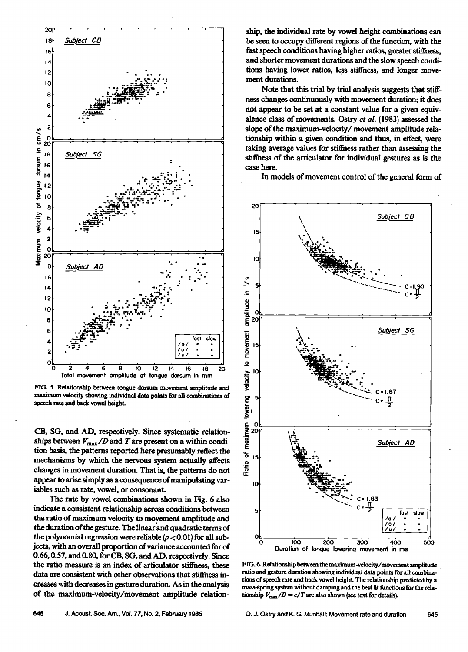

**FIO. 5. Relationship between tongue dersum movement amplitude and maximum valecity showing in&vidud data points for all combinations of speech rate and back vowel height.** 

**CB, SG, and AD, respectively. Since systematic relation**ships between  $V_{\text{max}}/D$  and T are present on a within condition basis, the patterns reported here presumably reflect the mechanisms by which the nervous system actually affects **changes in movement duration. That is, the patterns do not appear to arise simply as a consequence of manipulating variables such as rate, vowel, or consonant.** 

**The rate by vowel combinations shown in Fig. 6 also indicate a consistent relationship across conditions between**  the ratio of maximum velocity to movement amplitude and **the duration of the gesture. The linear and quadratic terms of the polynomial regression were reliable (p < 0.01) for all subjects, with an overall proportion of variance accounted for of 0.66, 0.57, and 0.80, for CB, SG, and AD, respectively. Since the ratio measure is an index of articulator stiffness, these data are consistent with other observations that stiffness increases with decreases in gesture duration. As in the analysis of the maximum-velocity/movement amplitude relation-** **ship, the individual rate by vowel height combinations can be seen to occupy different regions of the function, with the fast speech conditions having higher ratios, greater stiffness, and shorter movement durations and the slow speech conditions having lower ratios, less stiffness, and longer movement durations.** 

Note that this trial by trial analysis suggests that stiff**ness changes continuously with movement duration; it does not appear to be set at a constant value for a given equivalence class of movements. Ostry et al. (1983) assessed the**  slope of the maximum-velocity/movement amplitude rela**tionship within a given condition and thus, in effect, were taking average values for stiffness rather than assessing the**  stiffness of the articulator for individual gestures as is the **case here.** 

**In models of movement control of the general form of** 



FIG. 6. Relationship between the maximum-velocity/movement amplitude **ratio and gesture duration showing individual data points for all combina**tions of speech rate and back vowel height. The relationship predicted by a **maas-spring system without damping and the best fit functions for the rela**tionship  $V_{\text{max}}/D = c/T$  are also shown (see text for details).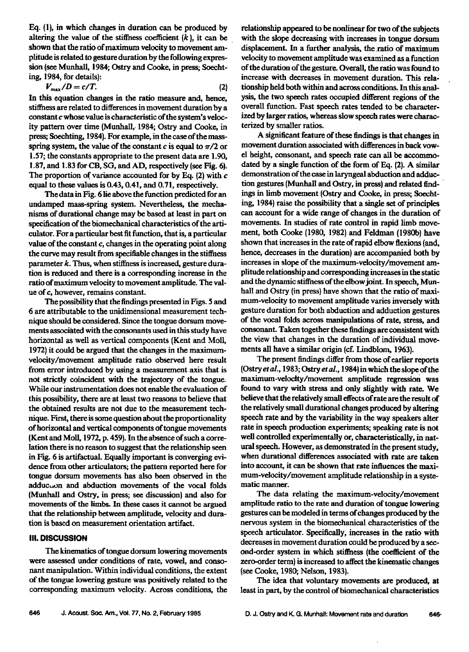**Eq. (1), in which changes in duration can be produced by**  altering the value of the stiffness coefficient  $(k)$ , it can be **shown that the ratio of maximum velocity to movement amplitude is related to gesture duration by the following expression (see Munhall, 1984; Ostry and Cooke, in press; Soechtinc, 1984, for details):** 

$$
V_{\text{max}}/D = c/T.
$$
 (2)

**In this equation changes in the ratio measure and, hence, stiffness are related to differences in movement duration by a constant c whose value is characteristic of the system's veloc**ity pattern over time (Munhall, 1984; Ostry and Cooke, in **press; Soechting, 1984). For example, in the case of the mass**spring system, the value of the constant  $c$  is equal to  $\pi/2$  or **1.57; the constants appropriate to the present data are 1.90, 1.87, and 1.83 for CB, SO, and AD, respectively (see Fig. 6).**  The proportion of variance accounted for by Eq. (2) with c **equal to these values is 0.43, 0.41, and 0.71, respectively.** 

**The data in Fig. 6 lie above the function predicted for an undamped mass-spring system. Nevertheless, the mechanisms of durational change may be based at least in part on**  specification of the biomechanical characteristics of the arti**culator. For a particular best fit function, that is, a particular value of the constant c, changes in the operating point along the curve may result from specifiable changes in the stiffness parameter k. Thus, when stiffness is increased, gesture duration is reduced and there is a corresponding increase in the ratio of maximum velocity to movement amplitude. The value of c, however, remains constant.** 

**The possibility that the findings presented in Figs. 5 and 6 are attributable to the unidimensional measurement technique should be considered. Since the tongue dotsurn move**ments associated with the consonants used in this study have horizontal as well as vertical components (Kent and Moll, **1972) it could be argued that the changes in the maximumvelocity/movement amplitude ratio observed here result from error introduced by using a measurement axis that is not strictly coincident with the trajectory of the tongue. While our instrumentation does not enable the evaluation of this possibility, there are at least two reasons to believe that the obtained results are not due to the measurement technique. First, there is some question about the proportionality of horizontal and vertical components of tongue movements IKent and Moll, 1972, p. 459}. In the absence of such a correlation there is no reason to suggest that the relationship seen in Fig. 6 is artifactual. Equally important is converging evidence from other articulators; the pattern reported here for tongue dorsum movements has also been observed in the**  adduc<sub>to</sub>n and abduction movements of the vocal folds **(Munhall and Ostry, in press; see discussionl and also for**  movements of the limbs. In these cases it cannot be argued **that the relationship between amplitude, velocity and duration is based on measurement orientation artifact.** 

### **IlL DISCUSSION**

**The kinematics of tongue dorsum lowering movements were assessed under conditions of rate, vowel, and consonant manipulation. Within individual conditions, the extent of the tongue lowering gesture was positively related to the corresponding maximum velocity. Across conditions, the**  **relationship apeared tobe nonlinear for two of the subjects**  with the slope decreasing with increases in tongue dorsum **displacement. In a further analysis, the.ratio of maximum velocity to movement amplitude was examined as a function of the duration of the gesture. Overall, the ratio was found to increase with decreases in movement duration. This relationship held both within and across conditions. In this anal**ysis, the two speech rates occupied different regions of the **overall function. Fast speech rates tended to be characterized by larger ratios, whereas slow speech rates were characterized by smaller ratios.** 

**A significant feature of these findings is that changes in movement duration associated with differences in back vowel height, consonant, and speech rate can all be accommodated by a single function of the form of Eq. {21. A similar demonstration of the case in laryngeal abduction and adduetion gestures {Munhall and Ostry, in press) and related find- ' ings in limb movement (Ostry and Cooke, in press; Soechting, 1984) raise the possibility that a single set of principles can account for a wide range of changes in the duration of movements. In studies of rate control in rapid limb move**ment, both Cooke (1980, 1982) and Feldman (1980b) have **shown that increases inthe rate of rapid elbow flexions (and,**  hence, decreases in the duration) are accompanied both by **increases in slope of the maximum-velocity/movement amplitude relationship and corresponding increases in the static and the dynamic stiffness of the elbow joint. In speech, Mun**hall and Ostry (in press) have shown that the ratio of maxi**mum-velocity to movement amplitude varies inversely with gesture duration for both abduction and adduction gestures of the vocal folds across manipulations of rate, stress, and consonant. Taken together these findings are consistent with the view that changes in the duration of individual movements all have a similar origin (cf. Lindblom, 1963).** 

The present findings differ from those of earlier reports **(Ostry et al., 1983; Ostry et al., 1984) in which the slope of the maximum-velocity/movement amplitude regression was found to vary with stress and only slightly with rate. We believe that the relatively small effects of rate are the result of the relatively small durational changes produced by altering speech rate and by the variability in the way speakers alter rate in speech production experiments; speaking rate is not well controlled experimentally or, characteristically, in natural speech. However, as demonstrated in the present study, when durational differences associated with rate are taken into account, it can be shown that rate influences the maximum-velocity/movement amplitude relationship in a systematic manner.** 

**The data relating the maximum-velocity/movement amplitude ratio to the rate and duration of tongue lowering gestures can be modeled in terms of changes produced by the nervous system in the biomechanical characteristics of the speech articulator. Specifically, increases in the ratio with**  decreases in movement duration could be produced by a sec**ond-order system in which stiffness (the coefficient of the zero-order term) is increased to affect the kinematic changes (see Cooke, 1980; Nelson, 1983).** 

**The idea that voluntary movements are produced, at least in part, by the control of biomechanical characteristics**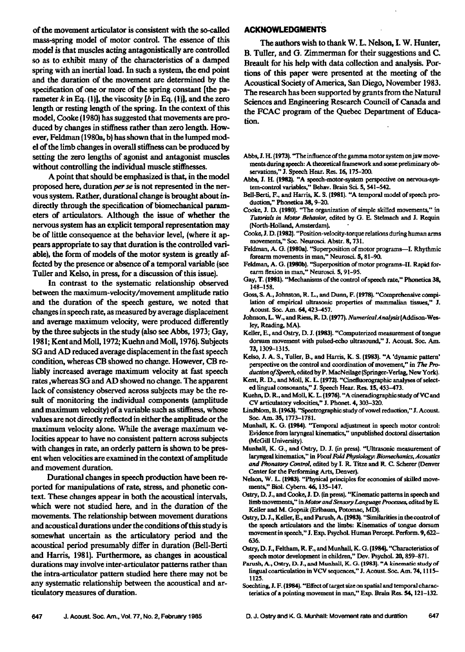of the movement articulator is consistent with the so-called **mass-spring model of motor control. The essence of this model is that muscles acting antagonistically are controlled**  so as to exhibit many of the characteristics of a damped spring with an inertial load. In such a system, the end point **and the duration of the movement are determined by the specification of one or more of the spring constant [the parameter k in Eq. (1)], the viscosity [b in Eq. (1)], and the zero length or resting length of the spring. In the context of this model, Cooke (1980) has suggested that movements are produced by changes in stiffness rather than zero length. However, Feldman (1980a, b) has shown that in the lumped model of the limb changes in overall stiffness can be produced by setting the zero lengths of agonist and antagonist muscles without controlling the individual muscle stiffnesses.** 

**A point that should be emphasized is that, in the model proposed here, duration per se is not represented in the nervous system. Rather, durational change is brought about indirectly through the specification of biomechanical parameters of articulators. Although the issue of whether the nervous system has an explicit temporal representation may be of little consequence at the behavior level, (where it appears appropriate to say that duration is the controlled variable), the form of models of the motor system is greatly affected by the presence or absence of a temporal variable (see TuLler and Kelso, in press, for a discussion of this issue).** 

**In contrast to the systematic relationship observed between the maximum-velocity/movement amplitude ratio and the duration of the speech gesture, we noted that changes in speech rate, as measured by average displacement and average maximum velocity, were produced differently by the three subjects in the study (also see Abbs, 1973; Gay, 1981; Kent and Moll, 1972; Kuehn and Moll, 1976). Subjects SG and AD reduced average displacement inthe fast speech condition, whereas CB showed no change. However, CB reliably increased average maximum velocity at fast speech rates ,whereas SG and AD showed no change. The apparent lack of consistency observed across subjects may be the resuit of monitoring the individual components (amplitude and maximum velocity) of a variable such as stiffness, whose values are not directly reflected in either the amplitude or the maximum velocity alone. While the average maximum ve**locities appear to have no consistent pattern across subjects **with changes in rate, an orderly pattern is shown to be present when velocities are examined in the context of amplitude and movement duration.** 

**Durational changes in speech production have been reported for manipulations of rate, stress, and phonetic context. These changes appear in both the acoustical intervals, which were not studied here, and in the duration of the movements. The relationship between movement durations and acoustical durations under the conditions of this study is somewhat uncertain as the articulatory period and the acoustical period presumably differ in duration (Bell-Berti and Harris, 1981). Furthermore, as changes in acoustical durations may involve inter-articulator patterns rather than the intra-articulator pattern studied here there may not be any systematic relationship between the acoustical and articulatory measures of duration.** 

# **ACKNOWLEDGMEHTS**

**The authors wish to thank W. L. Nelson, I. W. Hunter, B. Tuller, and G. Zimmerman for their suggestions and C. Breault for his help with data collection and analysis. Portions of this paper were presented at the meeting of the Acoustical Society of America, San Diego, November 1983. The research has been supported by grants from the Natural Sciences and Engineering Research Council of Canada and the FCAC program of the Quebec Department of Education.** 

- Abbs, J. H. (1973). "The influence of the gamma motor system on jaw movements during speech: A theoretical framework and some preliminary ob**servations," J. Speech Hezx. Res. 16, 175-200.**
- **Abbs, J. H. {1982). "A speech-motor-system perspective on nervous-system-control variables," Behar. Brain Sci. S, 541-542.**
- **Bell-Berti, F., and Harris, K. S. {1981}. "A temporal model of speech pro**duction," Phonetica 38, 9-20.
- Cooke, J. D. (1980). "The organization of simple skilled movements," in **Tutorials in Motor Behaoior, edited by (3. E. Stelmach and J. Requin {North-Holland, Amsterdam).**
- **Cooke, \$. D. {1982 I. "Position-velocity-torque relations during human arms movements," Soc. Neurosci. Abstr. 8, 731.**
- Feldman, A. G. (1980a). "Superposition of motor programs-I. Rhythmic **forearm movements in man," Neurosci. \$, 81-90.**
- Feldman, A. G. (1980b). "Superposition of motor programs-II. Rapid for**earm flexion in man," Neurosci. S, 91-95.**
- **Gay, T. {1981). "Mechanisms of the control of speech rate," Phonefica 38, 148-158.**
- **Goss, S. A., Johnston, R. L., and Dunn, F. (1978}. "Comprehensive compilation of empirical ultrasonic properties of mammalian tissues," J. Acoust. Soc. Am. 64, 423-457.**
- Johnson, L. W., and Riess, R. D. (1977). Numerical Analysis (Addison-Wes**ley, Reading, MA).**
- Keller, E., and Ostry, D. J. (1983). "Computerized measurement of tongue dorsum movement with pulsed-echo ultrasound," J. Acoust. Soc. Am. **73, 1309-1315.**
- Kelso, J. A. S., Tuller, B., and Harris, K. S. (1983). "A 'dynamic pattern' **perspective on the control and coordination of movement," in The ProductionofSpeech, editedby P. MacNeilage {Springer-Verlag, New York}.**
- Kent, R. D., and Moll, K. L. (1972). "Cinefluorographic analyses of select**ed lingual consonants," •. Speech Hear. Res. lS, 453-473.**
- Kuehn, D. R., and Moll, K. L. (1976). "A cineradiographic study of VC and **CV articulatory velocities," J. Phonet. 4, 303-320.**
- Lindblom, B. (1963). "Spectrographic study of vowel reduction," J. Acoust. **Soc. Am. 35, 1773-1781.**
- **Munhall, K. (3. {1984). "Temporal adjustment in speech motor control:**  Evidence from laryngeal kinematics," unpublished doctoral dissertation **{McGill University}.**
- **Munhall, K. G.• and Ostry, D. J. (in press}. "Ultrasonic measurement of laryngeal kinematics," in Vocal Fold Physiology: Riomechanics, Acoustics and Phonatory Contro/, edited by I. R. Titze and R. C. Scherer {Denver Center for the Performing Arts, Denver}.**
- **Nelson, W. L. {1983}. "Physical principles for economies of skilled move**ments," Biol. Cybern. **46**, 135-147.
- Ostry, D. J., and Cooke, J. D. (in press). "Kinematic patterns in speech and limb movements," in Motor and Sensory Language Processes, edited by E. Keller and M. Gopnik (Erlbaum, Potomac, MD).
- Ostry, D. J., Keller, E., and Parush, A. (1983). "Similarities in the control of **the speech articulators and the limbs: Kinematics of tongue dotsum movement in speech," J. Exp. Psychol. Human Percept. Perform. 9, 622- 636.**
- Ostry, D. J., Feltham, R. F., and Munhall, K. G. (1984). "Characteristics of **speech motor development in children," Dev. PsychoL 20, 859-871.**
- Parush, A., Oatry, D. J., and Munhall, K. G. (1983). "A kinematic study of lingual coarticulation in VCV sequences," J. Acoust. Soc. Am. 74, 1115-**1125.**
- Soechting, J. F. (1984). "Effect of target size on spatial and temporal characteristics of a pointing movement in man," Exp. Brain Res. 54, 121-132.